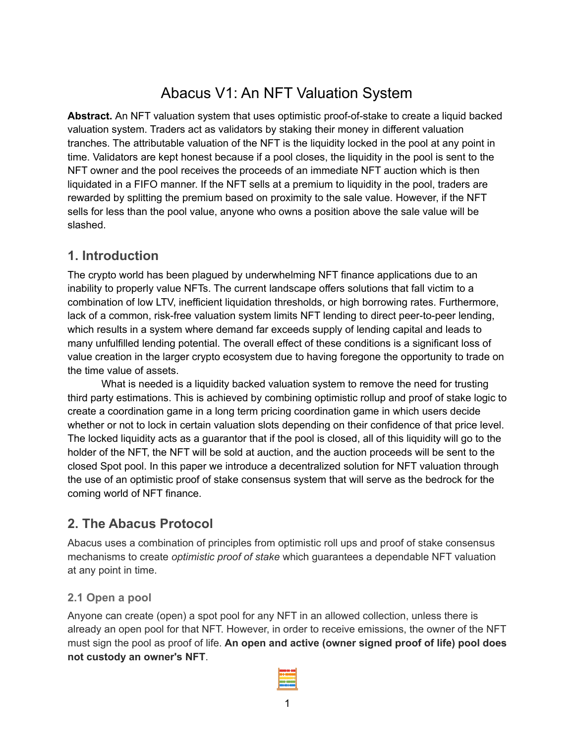# Abacus V1: An NFT Valuation System

**Abstract.** An NFT valuation system that uses optimistic proof-of-stake to create a liquid backed valuation system. Traders act as validators by staking their money in different valuation tranches. The attributable valuation of the NFT is the liquidity locked in the pool at any point in time. Validators are kept honest because if a pool closes, the liquidity in the pool is sent to the NFT owner and the pool receives the proceeds of an immediate NFT auction which is then liquidated in a FIFO manner. If the NFT sells at a premium to liquidity in the pool, traders are rewarded by splitting the premium based on proximity to the sale value. However, if the NFT sells for less than the pool value, anyone who owns a position above the sale value will be slashed.

# **1. Introduction**

The crypto world has been plagued by underwhelming NFT finance applications due to an inability to properly value NFTs. The current landscape offers solutions that fall victim to a combination of low LTV, inefficient liquidation thresholds, or high borrowing rates. Furthermore, lack of a common, risk-free valuation system limits NFT lending to direct peer-to-peer lending, which results in a system where demand far exceeds supply of lending capital and leads to many unfulfilled lending potential. The overall effect of these conditions is a significant loss of value creation in the larger crypto ecosystem due to having foregone the opportunity to trade on the time value of assets.

What is needed is a liquidity backed valuation system to remove the need for trusting third party estimations. This is achieved by combining optimistic rollup and proof of stake logic to create a coordination game in a long term pricing coordination game in which users decide whether or not to lock in certain valuation slots depending on their confidence of that price level. The locked liquidity acts as a guarantor that if the pool is closed, all of this liquidity will go to the holder of the NFT, the NFT will be sold at auction, and the auction proceeds will be sent to the closed Spot pool. In this paper we introduce a decentralized solution for NFT valuation through the use of an optimistic proof of stake consensus system that will serve as the bedrock for the coming world of NFT finance.

# **2. The Abacus Protocol**

Abacus uses a combination of principles from optimistic roll ups and proof of stake consensus mechanisms to create *optimistic proof of stake* which guarantees a dependable NFT valuation at any point in time.

# **2.1 Open a pool**

Anyone can create (open) a spot pool for any NFT in an allowed collection, unless there is already an open pool for that NFT. However, in order to receive emissions, the owner of the NFT must sign the pool as proof of life. **An open and active (owner signed proof of life) pool does not custody an owner's NFT**.

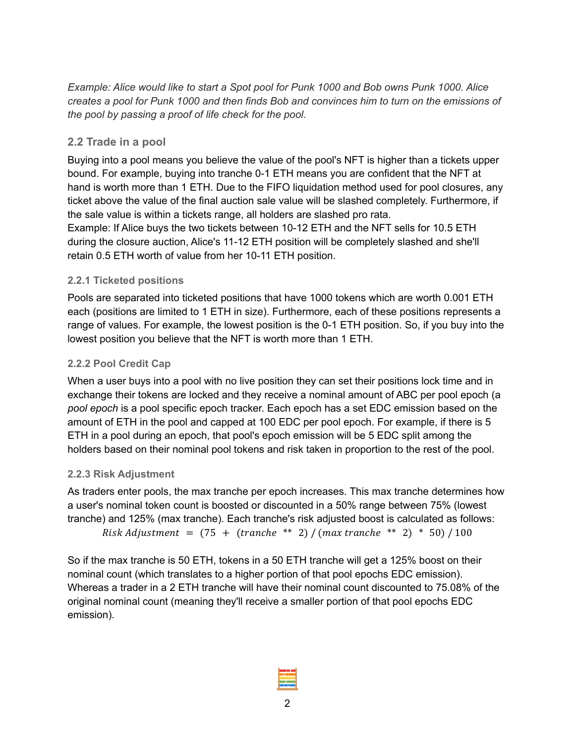*Example: Alice would like to start a Spot pool for Punk 1000 and Bob owns Punk 1000. Alice* creates a pool for Punk 1000 and then finds Bob and convinces him to turn on the emissions of *the pool by passing a proof of life check for the pool.*

# **2.2 Trade in a pool**

Buying into a pool means you believe the value of the pool's NFT is higher than a tickets upper bound. For example, buying into tranche 0-1 ETH means you are confident that the NFT at hand is worth more than 1 ETH. Due to the FIFO liquidation method used for pool closures, any ticket above the value of the final auction sale value will be slashed completely. Furthermore, if the sale value is within a tickets range, all holders are slashed pro rata. Example: If Alice buys the two tickets between 10-12 ETH and the NFT sells for 10.5 ETH during the closure auction, Alice's 11-12 ETH position will be completely slashed and she'll retain 0.5 ETH worth of value from her 10-11 ETH position.

# **2.2.1 Ticketed positions**

Pools are separated into ticketed positions that have 1000 tokens which are worth 0.001 ETH each (positions are limited to 1 ETH in size). Furthermore, each of these positions represents a range of values. For example, the lowest position is the 0-1 ETH position. So, if you buy into the lowest position you believe that the NFT is worth more than 1 ETH.

# **2.2.2 Pool Credit Cap**

When a user buys into a pool with no live position they can set their positions lock time and in exchange their tokens are locked and they receive a nominal amount of ABC per pool epoch (a *pool epoch* is a pool specific epoch tracker. Each epoch has a set EDC emission based on the amount of ETH in the pool and capped at 100 EDC per pool epoch. For example, if there is 5 ETH in a pool during an epoch, that pool's epoch emission will be 5 EDC split among the holders based on their nominal pool tokens and risk taken in proportion to the rest of the pool.

# **2.2.3 Risk Adjustment**

As traders enter pools, the max tranche per epoch increases. This max tranche determines how a user's nominal token count is boosted or discounted in a 50% range between 75% (lowest tranche) and 125% (max tranche). Each tranche's risk adjusted boost is calculated as follows:  $Risk \, Adjustment = (75 + (tranche ** 2) / (max tranche ** 2) * 50) / 100$ 

So if the max tranche is 50 ETH, tokens in a 50 ETH tranche will get a 125% boost on their nominal count (which translates to a higher portion of that pool epochs EDC emission). Whereas a trader in a 2 ETH tranche will have their nominal count discounted to 75.08% of the original nominal count (meaning they'll receive a smaller portion of that pool epochs EDC emission).

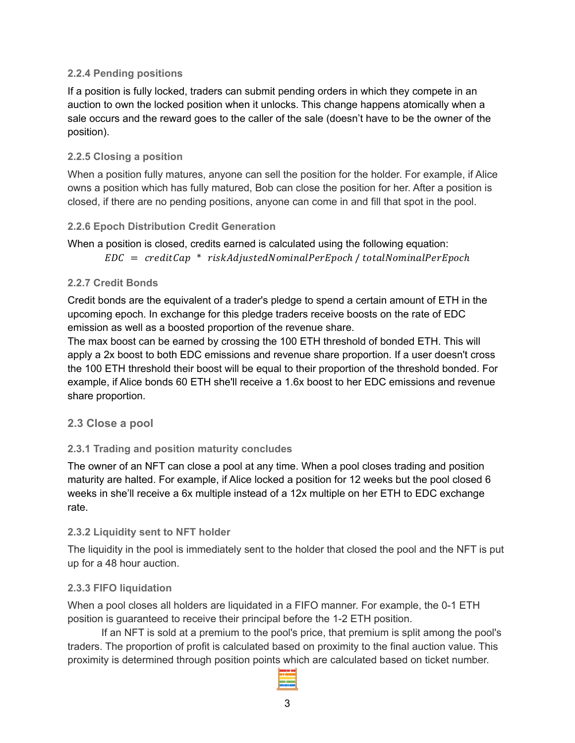#### **2.2.4 Pending positions**

If a position is fully locked, traders can submit pending orders in which they compete in an auction to own the locked position when it unlocks. This change happens atomically when a sale occurs and the reward goes to the caller of the sale (doesn't have to be the owner of the position).

#### **2.2.5 Closing a position**

When a position fully matures, anyone can sell the position for the holder. For example, if Alice owns a position which has fully matured, Bob can close the position for her. After a position is closed, if there are no pending positions, anyone can come in and fill that spot in the pool.

#### **2.2.6 Epoch Distribution Credit Generation**

```
When a position is closed, credits earned is calculated using the following equation:
EDC = creditCap * riskAdjusted NominalPerEpoch / total NominalPerEpoch
```
#### **2.2.7 Credit Bonds**

Credit bonds are the equivalent of a trader's pledge to spend a certain amount of ETH in the upcoming epoch. In exchange for this pledge traders receive boosts on the rate of EDC emission as well as a boosted proportion of the revenue share.

The max boost can be earned by crossing the 100 ETH threshold of bonded ETH. This will apply a 2x boost to both EDC emissions and revenue share proportion. If a user doesn't cross the 100 ETH threshold their boost will be equal to their proportion of the threshold bonded. For example, if Alice bonds 60 ETH she'll receive a 1.6x boost to her EDC emissions and revenue share proportion.

# **2.3 Close a pool**

#### **2.3.1 Trading and position maturity concludes**

The owner of an NFT can close a pool at any time. When a pool closes trading and position maturity are halted. For example, if Alice locked a position for 12 weeks but the pool closed 6 weeks in she'll receive a 6x multiple instead of a 12x multiple on her ETH to EDC exchange rate.

#### **2.3.2 Liquidity sent to NFT holder**

The liquidity in the pool is immediately sent to the holder that closed the pool and the NFT is put up for a 48 hour auction.

#### **2.3.3 FIFO liquidation**

When a pool closes all holders are liquidated in a FIFO manner. For example, the 0-1 ETH position is guaranteed to receive their principal before the 1-2 ETH position.

If an NFT is sold at a premium to the pool's price, that premium is split among the pool's traders. The proportion of profit is calculated based on proximity to the final auction value. This proximity is determined through position points which are calculated based on ticket number.

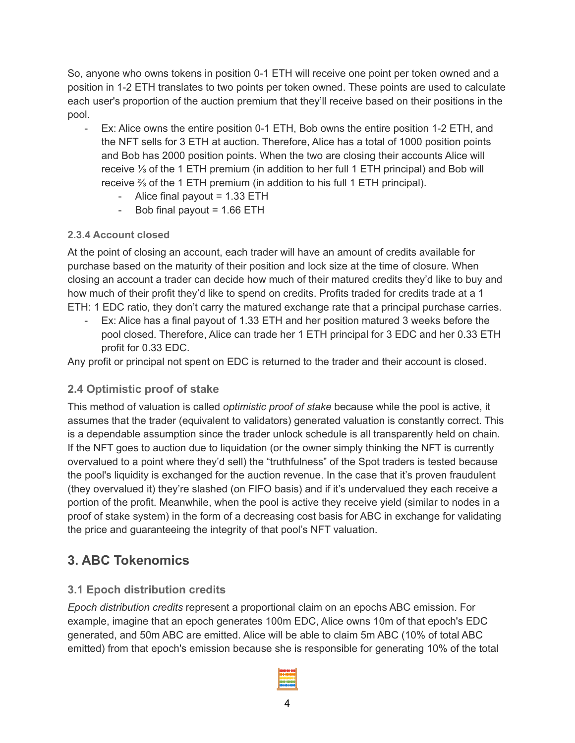So, anyone who owns tokens in position 0-1 ETH will receive one point per token owned and a position in 1-2 ETH translates to two points per token owned. These points are used to calculate each user's proportion of the auction premium that they'll receive based on their positions in the pool.

- Ex: Alice owns the entire position 0-1 ETH, Bob owns the entire position 1-2 ETH, and the NFT sells for 3 ETH at auction. Therefore, Alice has a total of 1000 position points and Bob has 2000 position points. When the two are closing their accounts Alice will receive ⅓ of the 1 ETH premium (in addition to her full 1 ETH principal) and Bob will receive ⅔ of the 1 ETH premium (in addition to his full 1 ETH principal).
	- Alice final payout  $= 1.33$  ETH
	- Bob final payout  $= 1.66$  ETH

# **2.3.4 Account closed**

At the point of closing an account, each trader will have an amount of credits available for purchase based on the maturity of their position and lock size at the time of closure. When closing an account a trader can decide how much of their matured credits they'd like to buy and how much of their profit they'd like to spend on credits. Profits traded for credits trade at a 1 ETH: 1 EDC ratio, they don't carry the matured exchange rate that a principal purchase carries.

- Ex: Alice has a final payout of 1.33 ETH and her position matured 3 weeks before the pool closed. Therefore, Alice can trade her 1 ETH principal for 3 EDC and her 0.33 ETH profit for 0.33 EDC.

Any profit or principal not spent on EDC is returned to the trader and their account is closed.

# **2.4 Optimistic proof of stake**

This method of valuation is called *optimistic proof of stake* because while the pool is active, it assumes that the trader (equivalent to validators) generated valuation is constantly correct. This is a dependable assumption since the trader unlock schedule is all transparently held on chain. If the NFT goes to auction due to liquidation (or the owner simply thinking the NFT is currently overvalued to a point where they'd sell) the "truthfulness" of the Spot traders is tested because the pool's liquidity is exchanged for the auction revenue. In the case that it's proven fraudulent (they overvalued it) they're slashed (on FIFO basis) and if it's undervalued they each receive a portion of the profit. Meanwhile, when the pool is active they receive yield (similar to nodes in a proof of stake system) in the form of a decreasing cost basis for ABC in exchange for validating the price and guaranteeing the integrity of that pool's NFT valuation.

# **3. ABC Tokenomics**

# **3.1 Epoch distribution credits**

*Epoch distribution credits* represent a proportional claim on an epochs ABC emission. For example, imagine that an epoch generates 100m EDC, Alice owns 10m of that epoch's EDC generated, and 50m ABC are emitted. Alice will be able to claim 5m ABC (10% of total ABC emitted) from that epoch's emission because she is responsible for generating 10% of the total

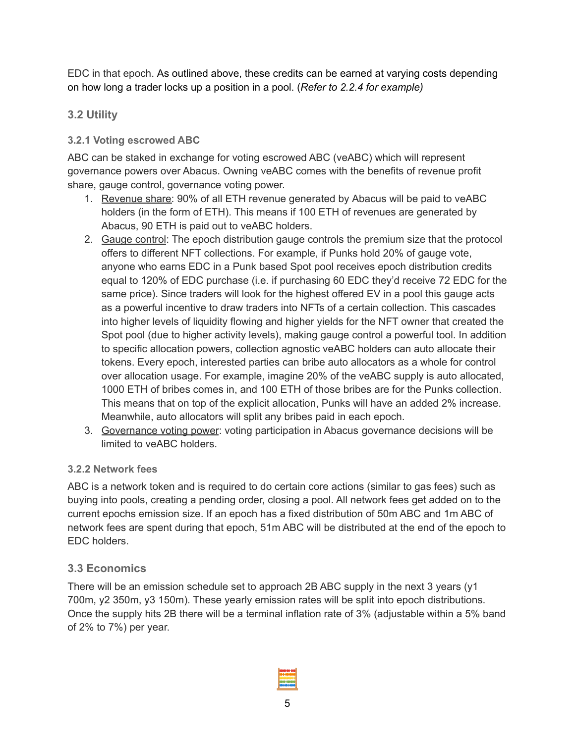EDC in that epoch. As outlined above, these credits can be earned at varying costs depending on how long a trader locks up a position in a pool. (*Refer to 2.2.4 for example)*

# **3.2 Utility**

# **3.2.1 Voting escrowed ABC**

ABC can be staked in exchange for voting escrowed ABC (veABC) which will represent governance powers over Abacus. Owning veABC comes with the benefits of revenue profit share, gauge control, governance voting power.

- 1. Revenue share: 90% of all ETH revenue generated by Abacus will be paid to veABC holders (in the form of ETH). This means if 100 ETH of revenues are generated by Abacus, 90 ETH is paid out to veABC holders.
- 2. Gauge control: The epoch distribution gauge controls the premium size that the protocol offers to different NFT collections. For example, if Punks hold 20% of gauge vote, anyone who earns EDC in a Punk based Spot pool receives epoch distribution credits equal to 120% of EDC purchase (i.e. if purchasing 60 EDC they'd receive 72 EDC for the same price). Since traders will look for the highest offered EV in a pool this gauge acts as a powerful incentive to draw traders into NFTs of a certain collection. This cascades into higher levels of liquidity flowing and higher yields for the NFT owner that created the Spot pool (due to higher activity levels), making gauge control a powerful tool. In addition to specific allocation powers, collection agnostic veABC holders can auto allocate their tokens. Every epoch, interested parties can bribe auto allocators as a whole for control over allocation usage. For example, imagine 20% of the veABC supply is auto allocated, 1000 ETH of bribes comes in, and 100 ETH of those bribes are for the Punks collection. This means that on top of the explicit allocation, Punks will have an added 2% increase. Meanwhile, auto allocators will split any bribes paid in each epoch.
- 3. Governance voting power: voting participation in Abacus governance decisions will be limited to veABC holders.

# **3.2.2 Network fees**

ABC is a network token and is required to do certain core actions (similar to gas fees) such as buying into pools, creating a pending order, closing a pool. All network fees get added on to the current epochs emission size. If an epoch has a fixed distribution of 50m ABC and 1m ABC of network fees are spent during that epoch, 51m ABC will be distributed at the end of the epoch to EDC holders.

# **3.3 Economics**

There will be an emission schedule set to approach 2B ABC supply in the next 3 years (y1 700m, y2 350m, y3 150m). These yearly emission rates will be split into epoch distributions. Once the supply hits 2B there will be a terminal inflation rate of 3% (adjustable within a 5% band of 2% to 7%) per year.